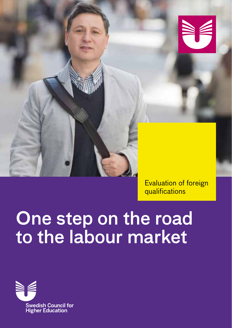

Evaluation of foreign qualifications

# One step on the road to the labour market

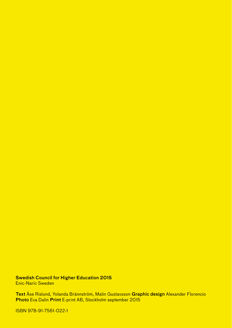Swedish Council for Higher Education 2015 Enic-Naric Sweden

Text Åse Rislund, Yolanda Brännström, Malin Gustavsson Graphic design Alexander Florencio Photo Eva Dalin Print E-print AB, Stockholm september 2015

ISBN 978-91-7561-022-1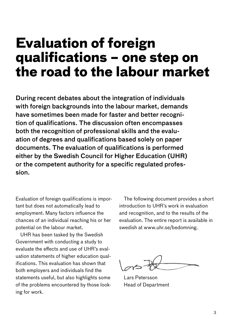### **Evaluation of foreign qualifications – one step on the road to the labour market**

During recent debates about the integration of individuals with foreign backgrounds into the labour market, demands have sometimes been made for faster and better recognition of qualifications. The discussion often encompasses both the recognition of professional skills and the evaluation of degrees and qualifications based solely on paper documents. The evaluation of qualifications is performed either by the Swedish Council for Higher Education (UHR) or the competent authority for a specific regulated profession.

Evaluation of foreign qualifications is important but does not automatically lead to employment. Many factors influence the chances of an individual reaching his or her potential on the labour market.

UHR has been tasked by the Swedish Government with conducting a study to evaluate the effects and use of UHR's evaluation statements of higher education qualifications. This evaluation has shown that both employers and individuals find the statements useful, but also highlights some of the problems encountered by those looking for work.

The following document provides a short introduction to UHR's work in evaluation and recognition, and to the results of the evaluation. The entire report is available in swedish at www.uhr.se/bedomning.

Lars Petersson Head of Department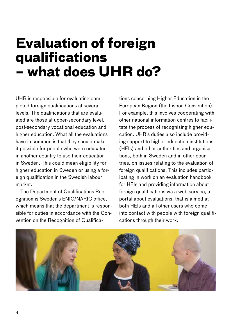### **Evaluation of foreign qualifications – what does UHR do?**

UHR is responsible for evaluating completed foreign qualifications at several levels. The qualifications that are evaluated are those at upper-secondary level, post-secondary vocational education and higher education. What all the evaluations have in common is that they should make it possible for people who were educated in another country to use their education in Sweden. This could mean eligibility for higher education in Sweden or using a foreign qualification in the Swedish labour market.

The Department of Qualifications Recognition is Sweden's ENIC/NARIC office, which means that the department is responsible for duties in accordance with the Convention on the Recognition of Qualifications concerning Higher Education in the European Region (the Lisbon Convention). For example, this involves cooperating with other national information centres to facilitate the process of recognising higher education. UHR's duties also include providing support to higher education institutions (HEIs) and other authorities and organisations, both in Sweden and in other countries, on issues relating to the evaluation of foreign qualifications. This includes participating in work on an evaluation handbook for HEIs and providing information about foreign qualifications via a web service, a portal about evaluations, that is aimed at both HEIs and all other users who come into contact with people with foreign qualifications through their work.

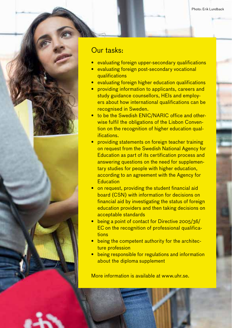Photo: Erik Lundback

### Our tasks:

- evaluating foreign upper-secondary qualifications
- evaluating foreign post-secondary vocational qualifications
- evaluating foreign higher education qualifications
- providing information to applicants, careers and study guidance counsellors, HEIs and employers about how international qualifications can be recognised in Sweden.
- to be the Swedish ENIC/NARIC office and otherwise fulfil the obligations of the Lisbon Convention on the recognition of higher education qualifications.
- providing statements on foreign teacher training on request from the Swedish National Agency for Education as part of its certification process and answering questions on the need for supplementary studies for people with higher education, according to an agreement with the Agency for **Education**
- on request, providing the student financial aid board (CSN) with information for decisions on financial aid by investigating the status of foreign education providers and then taking decisions on acceptable standards
- being a point of contact for Directive 2005/36/ EC on the recognition of professional qualifications
- being the competent authority for the architecture profession
- being responsible for regulations and information about the diploma supplement

More information is available at www.uhr.se.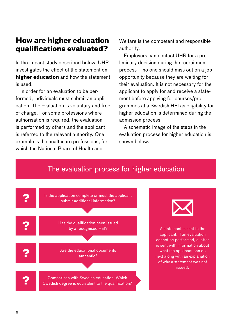### **How are higher education qualifications evaluated?**

In the impact study described below, UHR investigates the effect of the statement on **higher education** and how the statement is used.

In order for an evaluation to be performed, individuals must submit an application. The evaluation is voluntary and free of charge. For some professions where authorisation is required, the evaluation is performed by others and the applicant is referred to the relevant authority. One example is the healthcare professions, for which the National Board of Health and

Welfare is the competent and responsible authority.

Employers can contact UHR for a preliminary decision during the recruitment process – no one should miss out on a job opportunity because they are waiting for their evaluation. It is not necessary for the applicant to apply for and receive a statement before applying for courses/programmes at a Swedish HEI as eligibility for higher education is determined during the admission process.

A schematic image of the steps in the evaluation process for higher education is shown below.



### The evaluation process for higher education



A statement is sent to the applicant. If an evaluation cannot be performed, a letter is sent with information about what the applicant can do next along with an explanation of why a statement was not issued.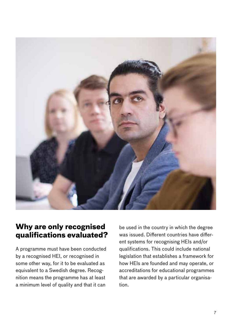

#### **Why are only recognised qualifications evaluated?**

A programme must have been conducted by a recognised HEI, or recognised in some other way, for it to be evaluated as equivalent to a Swedish degree. Recognition means the programme has at least a minimum level of quality and that it can

be used in the country in which the degree was issued. Different countries have different systems for recognising HEIs and/or qualifications. This could include national legislation that establishes a framework for how HEIs are founded and may operate, or accreditations for educational programmes that are awarded by a particular organisation.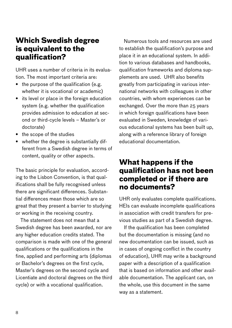### **Which Swedish degree is equivalent to the qualification?**

UHR uses a number of criteria in its evaluation. The most important criteria are:

- the purpose of the qualification (e.g. whether it is vocational or academic)
- its level or place in the foreign education system (e.g. whether the qualification provides admission to education at second or third-cycle levels – Master's or doctorate)
- the scope of the studies
- whether the degree is substantially different from a Swedish degree in terms of content, quality or other aspects.

The basic principle for evaluation, according to the Lisbon Convention, is that qualifications shall be fully recognised unless there are significant differences. Substantial differences mean those which are so great that they present a barrier to studying or working in the receiving country.

The statement does not mean that a Swedish degree has been awarded, nor are any higher education credits stated. The comparison is made with one of the general qualifications or the qualifications in the fine, applied and performing arts (diplomas or Bachelor's degrees on the first cycle, Master's degrees on the second cycle and Licentiate and doctoral degrees on the third cycle) or with a vocational qualification.

Numerous tools and resources are used to establish the qualification's purpose and place it in an educational system. In addition to various databases and handbooks, qualification frameworks and diploma supplements are used. UHR also benefits greatly from participating in various international networks with colleagues in other countries, with whom experiences can be exchanged. Over the more than 25 years in which foreign qualifications have been evaluated in Sweden, knowledge of various educational systems has been built up, along with a reference library of foreign educational documentation.

### **What happens if the qualification has not been completed or if there are no documents?**

UHR only evaluates complete qualifications. HEIs can evaluate incomplete qualifications in association with credit transfers for previous studies as part of a Swedish degree.

If the qualification has been completed but the documentation is missing (and no new documentation can be issued, such as in cases of ongoing conflict in the country of education), UHR may write a background paper with a description of a qualification that is based on information and other available documentation. The applicant can, on the whole, use this document in the same way as a statement.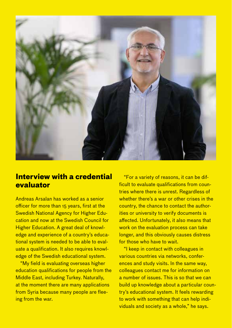

### **Interview with a credential evaluator**

Andreas Arsalan has worked as a senior officer for more than 15 years, first at the Swedish National Agency for Higher Education and now at the Swedish Council for Higher Education. A great deal of knowledge and experience of a country's educational system is needed to be able to evaluate a qualification. It also requires knowledge of the Swedish educational system.

"My field is evaluating overseas higher education qualifications for people from the Middle East, including Turkey. Naturally, at the moment there are many applications from Syria because many people are fleeing from the war.

"For a variety of reasons, it can be difficult to evaluate qualifications from countries where there is unrest. Regardless of whether there's a war or other crises in the country, the chance to contact the authorities or university to verify documents is affected. Unfortunately, it also means that work on the evaluation process can take longer, and this obviously causes distress for those who have to wait.

"I keep in contact with colleagues in various countries via networks, conferences and study visits. In the same way, colleagues contact me for information on a number of issues. This is so that we can build up knowledge about a particular country's educational system. It feels rewarding to work with something that can help individuals and society as a whole," he says.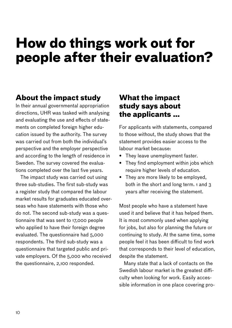### **How do things work out for people after their evaluation?**

### **About the impact study**

In their annual governmental appropriation directions, UHR was tasked with analysing and evaluating the use and effects of statements on completed foreign higher education issued by the authority. The survey was carried out from both the individual's perspective and the employer perspective and according to the length of residence in Sweden. The survey covered the evaluations completed over the last five years.

The impact study was carried out using three sub-studies. The first sub-study was a register study that compared the labour market results for graduates educated overseas who have statements with those who do not. The second sub-study was a questionnaire that was sent to 17,000 people who applied to have their foreign degree evaluated. The questionnaire had 5,000 respondents. The third sub-study was a questionnaire that targeted public and private employers. Of the 5,000 who received the questionnaire, 2,100 responded.

### **What the impact study says about the applicants …**

For applicants with statements, compared to those without, the study shows that the statement provides easier access to the labour market because:

- They leave unemployment faster.
- They find employment within jobs which require higher levels of education.
- They are more likely to be employed, both in the short and long term. 1 and 3 years after receiving the statement.

Most people who have a statement have used it and believe that it has helped them. It is most commonly used when applying for jobs, but also for planning the future or continuing to study. At the same time, some people feel it has been difficult to find work that corresponds to their level of education, despite the statement.

Many state that a lack of contacts on the Swedish labour market is the greatest difficulty when looking for work. Easily accessible information in one place covering pro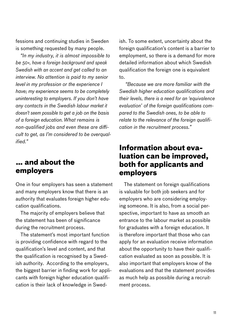fessions and continuing studies in Sweden is something requested by many people.

*"In my industry, it is almost impossible to be 50+, have a foreign background and speak Swedish with an accent and get called to an interview. No attention is paid to my senior level in my profession or the experience I have; my experience seems to be completely uninteresting to employers. If you don't have any contacts in the Swedish labour market it doesn't seem possible to get a job on the basis of a foreign education. What remains is non-qualified jobs and even these are difficult to get, as I'm considered to be overqualified."*

#### **… and about the employers**

One in four employers has seen a statement and many employers know that there is an authority that evaluates foreign higher education qualifications.

The majority of employers believe that the statement has been of significance during the recruitment process.

The statement's most important function is providing confidence with regard to the qualification's level and content, and that the qualification is recognised by a Swedish authority. According to the employers, the biggest barrier in finding work for applicants with foreign higher education qualification is their lack of knowledge in Swed-

ish. To some extent, uncertainty about the foreign qualification's content is a barrier to employment, so there is a demand for more detailed information about which Swedish qualification the foreign one is equivalent to.

 *"Because we are more familiar with the Swedish higher education qualifications and their levels, there is a need for an 'equivalence evaluation' of the foreign qualifications compared to the Swedish ones, to be able to relate to the relevance of the foreign qualification in the recruitment process."*

#### **Information about evaluation can be improved, both for applicants and employers**

The statement on foreign qualifications is valuable for both job seekers and for employers who are considering employing someone. It is also, from a social perspective, important to have as smooth an entrance to the labour market as possible for graduates with a foreign education. It is therefore important that those who can apply for an evaluation receive information about the opportunity to have their qualification evaluated as soon as possible. It is also important that employers know of the evaluations and that the statement provides as much help as possible during a recruitment process.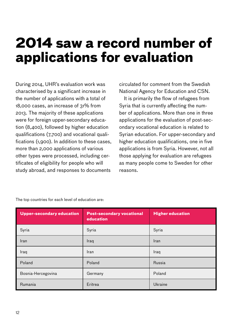### **2014 saw a record number of applications for evaluation**

During 2014, UHR's evaluation work was characterised by a significant increase in the number of applications with a total of 18,000 cases, an increase of 31% from 2013. The majority of these applications were for foreign upper-secondary education (8,400), followed by higher education qualifications (7,700) and vocational qualifications (1,900). In addition to these cases, more than 2,000 applications of various other types were processed, including certificates of eligibility for people who will study abroad, and responses to documents

circulated for comment from the Swedish National Agency for Education and CSN.

It is primarily the flow of refugees from Syria that is currently affecting the number of applications. More than one in three applications for the evaluation of post-secondary vocational education is related to Syrian education. For upper-secondary and higher education qualifications, one in five applications is from Syria. However, not all those applying for evaluation are refugees as many people come to Sweden for other reasons.

| <b>Upper-secondary education</b> | <b>Post-secondary vocational</b><br>education | <b>Higher education</b> |
|----------------------------------|-----------------------------------------------|-------------------------|
| Syria                            | Syria                                         | Syria                   |
| Iran                             | Iraq                                          | Iran                    |
| Iraq                             | Iran                                          | Iraq                    |
| Poland                           | Poland                                        | Russia                  |
| Bosnia-Hercegovina               | Germany                                       | Poland                  |
| Rumania                          | Eritrea                                       | Ukraine                 |

The top countries for each level of education are: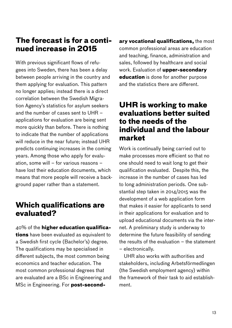### **The forecast is for a continued increase in 2015**

With previous significant flows of refugees into Sweden, there has been a delay between people arriving in the country and them applying for evaluation. This pattern no longer applies; instead there is a direct correlation between the Swedish Migration Agency's statistics for asylum seekers and the number of cases sent to UHR – applications for evaluation are being sent more quickly than before. There is nothing to indicate that the number of applications will reduce in the near future; instead UHR predicts continuing increases in the coming years. Among those who apply for evaluation, some will – for various reasons – have lost their education documents, which means that more people will receive a background paper rather than a statement.

### **Which qualifications are evaluated?**

40% of the **higher education qualifications** have been evaluated as equivalent to a Swedish first cycle (Bachelor's) degree. The qualifications may be specialised in different subjects, the most common being economics and teacher education. The most common professional degrees that are evaluated are a BSc in Engineering and MSc in Engineering. For **post-second-** **ary vocational qualifications,** the most common professional areas are education and teaching, finance, administration and sales, followed by healthcare and social work. Evaluation of **upper-secondary education** is done for another purpose and the statistics there are different.

### **UHR is working to make evaluations better suited to the needs of the individual and the labour market**

Work is continually being carried out to make processes more efficient so that no one should need to wait long to get their qualification evaluated. Despite this, the increase in the number of cases has led to long administration periods. One substantial step taken in 2014/2015 was the development of a web application form that makes it easier for applicants to send in their applications for evaluation and to upload educational documents via the internet. A preliminary study is underway to determine the future feasibility of sending the results of the evaluation – the statement – electronically.

UHR also works with authorities and stakeholders, including Arbetsförmedlingen (the Swedish employment agency) within the framework of their task to aid establishment.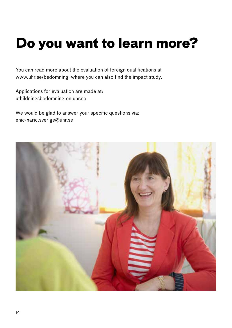## **Do you want to learn more?**

You can read more about the evaluation of foreign qualifications at [www.uhr.se/bedomning,](http://www.uhr.se/bedomning) where you can also find the impact study.

Applications for evaluation are made at: utbildningsbedomning-en.uhr.se

We would be glad to answer your specific questions via[:](mailto:enic-naric.sverige@uhr.se) [enic-naric.sverige@uhr.se](mailto:enic-naric.sverige@uhr.se)